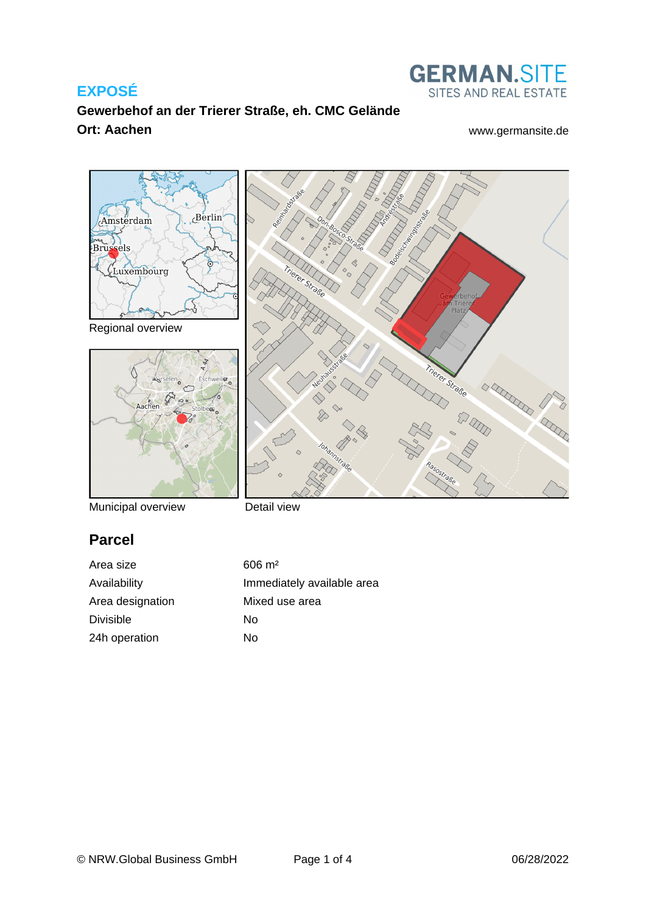## **EXPOSÉ**

## **Gewerbehof an der Trierer Straße, eh. CMC Gelände Ort: Aachen** [www.germansite.de](http://www.germansite.de)

Trierer Straße

**GERMAN.SITE** SITES AND REAL ESTATE



Regional overview



Municipal overview

Detail view

## **Parcel**

Area size  $606 \text{ m}^2$ Area designation Mixed use area Divisible No 24h operation No

Availability **Immediately** available area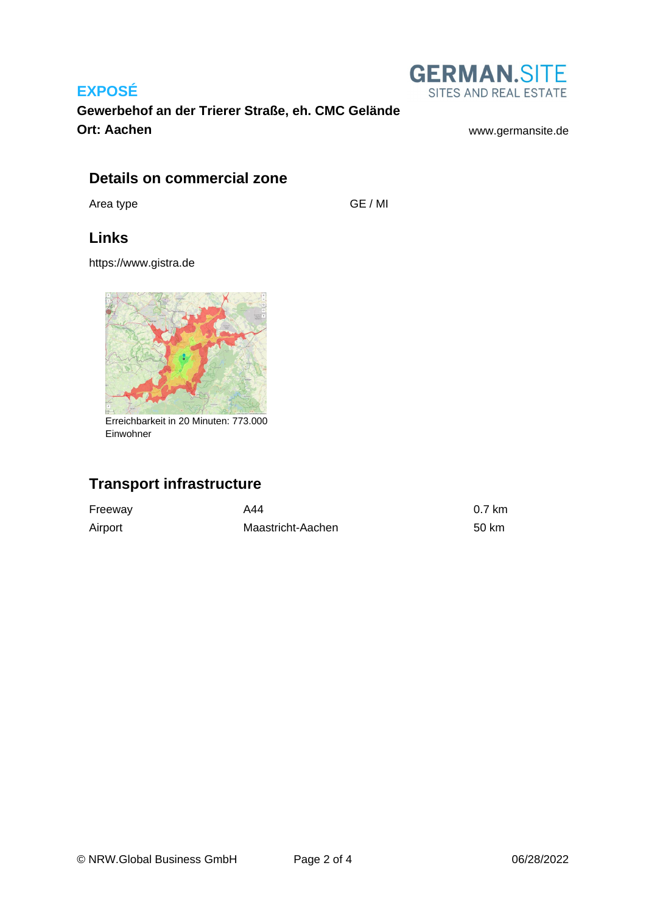## **EXPOSÉ**



**Gewerbehof an der Trierer Straße, eh. CMC Gelände Ort: Aachen** [www.germansite.de](http://www.germansite.de)

## **Details on commercial zone**

Area type GE / MI

## **Links**

<https://www.gistra.de>



Erreichbarkeit in 20 Minuten: 773.000 Einwohner

# **Transport infrastructure**

| Freeway | A44               | 0.7 km |
|---------|-------------------|--------|
| Airport | Maastricht-Aachen | 50 km  |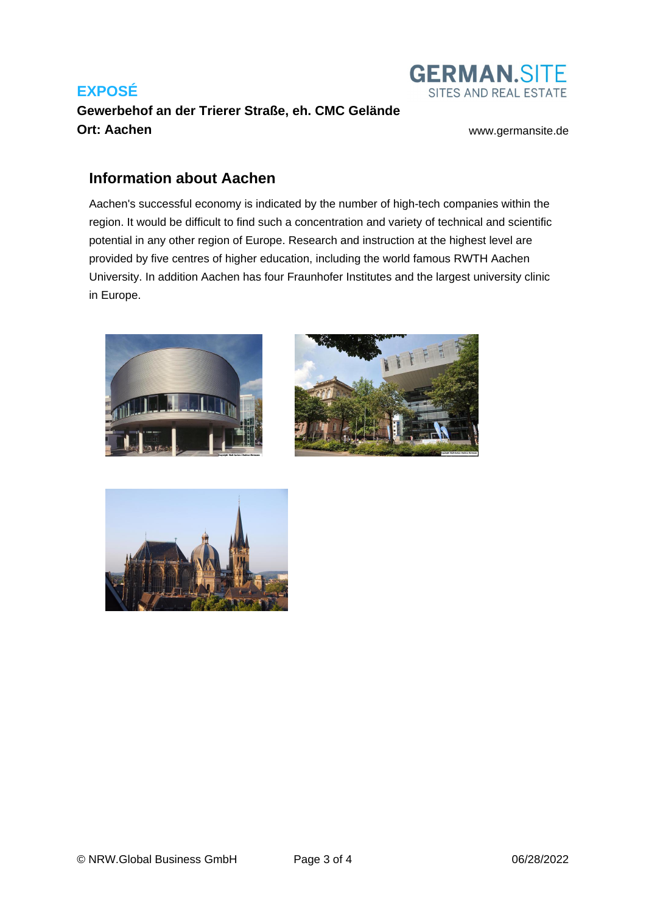# **EXPOSÉ Gewerbehof an der Trierer Straße, eh. CMC Gelände Ort: Aachen** [www.germansite.de](http://www.germansite.de)



## **Information about Aachen**

Aachen's successful economy is indicated by the number of high-tech companies within the region. It would be difficult to find such a concentration and variety of technical and scientific potential in any other region of Europe. Research and instruction at the highest level are provided by five centres of higher education, including the world famous RWTH Aachen University. In addition Aachen has four Fraunhofer Institutes and the largest university clinic in Europe.